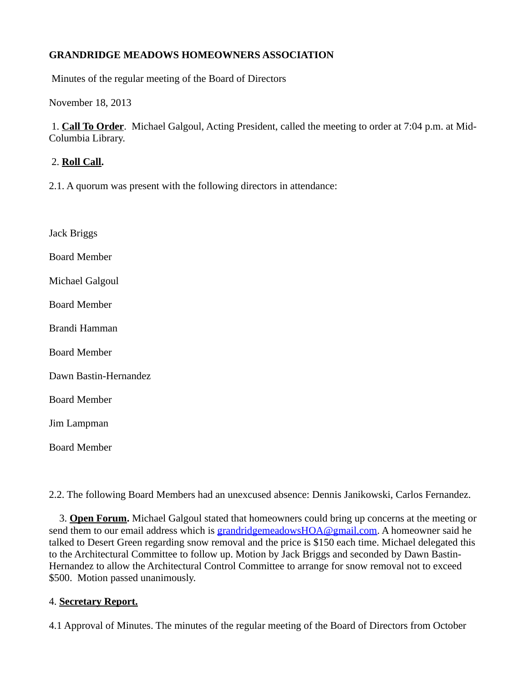# **GRANDRIDGE MEADOWS HOMEOWNERS ASSOCIATION**

Minutes of the regular meeting of the Board of Directors

November 18, 2013

1. **Call To Order**. Michael Galgoul, Acting President, called the meeting to order at 7:04 p.m. at Mid-Columbia Library.

### 2. **Roll Call.**

2.1. A quorum was present with the following directors in attendance:

Jack Briggs Board Member Michael Galgoul Board Member Brandi Hamman Board Member Dawn Bastin-Hernandez Board Member Jim Lampman Board Member

2.2. The following Board Members had an unexcused absence: Dennis Janikowski, Carlos Fernandez.

3. **Open Forum.** Michael Galgoul stated that homeowners could bring up concerns at the meeting or send them to our email address which is [grandridgemeadowsHOA@gmail.com](mailto:grandridgemeadowsHOA@gmail.com). A homeowner said he talked to Desert Green regarding snow removal and the price is \$150 each time. Michael delegated this to the Architectural Committee to follow up. Motion by Jack Briggs and seconded by Dawn Bastin-Hernandez to allow the Architectural Control Committee to arrange for snow removal not to exceed \$500. Motion passed unanimously.

### 4. **Secretary Report.**

4.1 Approval of Minutes. The minutes of the regular meeting of the Board of Directors from October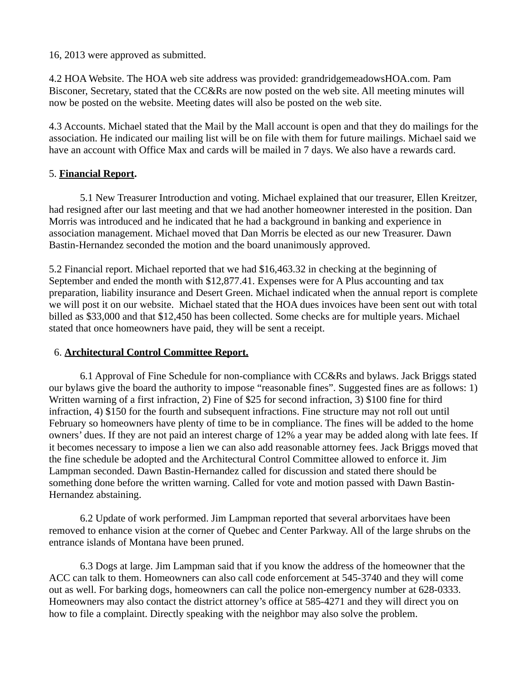16, 2013 were approved as submitted.

4.2 HOA Website. The HOA web site address was provided: grandridgemeadowsHOA.com. Pam Bisconer, Secretary, stated that the CC&Rs are now posted on the web site. All meeting minutes will now be posted on the website. Meeting dates will also be posted on the web site.

4.3 Accounts. Michael stated that the Mail by the Mall account is open and that they do mailings for the association. He indicated our mailing list will be on file with them for future mailings. Michael said we have an account with Office Max and cards will be mailed in 7 days. We also have a rewards card.

#### 5. **Financial Report.**

5.1 New Treasurer Introduction and voting. Michael explained that our treasurer, Ellen Kreitzer, had resigned after our last meeting and that we had another homeowner interested in the position. Dan Morris was introduced and he indicated that he had a background in banking and experience in association management. Michael moved that Dan Morris be elected as our new Treasurer. Dawn Bastin-Hernandez seconded the motion and the board unanimously approved.

5.2 Financial report. Michael reported that we had \$16,463.32 in checking at the beginning of September and ended the month with \$12,877.41. Expenses were for A Plus accounting and tax preparation, liability insurance and Desert Green. Michael indicated when the annual report is complete we will post it on our website. Michael stated that the HOA dues invoices have been sent out with total billed as \$33,000 and that \$12,450 has been collected. Some checks are for multiple years. Michael stated that once homeowners have paid, they will be sent a receipt.

### 6. **Architectural Control Committee Report.**

6.1 Approval of Fine Schedule for non-compliance with CC&Rs and bylaws. Jack Briggs stated our bylaws give the board the authority to impose "reasonable fines". Suggested fines are as follows: 1) Written warning of a first infraction, 2) Fine of \$25 for second infraction, 3) \$100 fine for third infraction, 4) \$150 for the fourth and subsequent infractions. Fine structure may not roll out until February so homeowners have plenty of time to be in compliance. The fines will be added to the home owners' dues. If they are not paid an interest charge of 12% a year may be added along with late fees. If it becomes necessary to impose a lien we can also add reasonable attorney fees. Jack Briggs moved that the fine schedule be adopted and the Architectural Control Committee allowed to enforce it. Jim Lampman seconded. Dawn Bastin-Hernandez called for discussion and stated there should be something done before the written warning. Called for vote and motion passed with Dawn Bastin-Hernandez abstaining.

6.2 Update of work performed. Jim Lampman reported that several arborvitaes have been removed to enhance vision at the corner of Quebec and Center Parkway. All of the large shrubs on the entrance islands of Montana have been pruned.

6.3 Dogs at large. Jim Lampman said that if you know the address of the homeowner that the ACC can talk to them. Homeowners can also call code enforcement at 545-3740 and they will come out as well. For barking dogs, homeowners can call the police non-emergency number at 628-0333. Homeowners may also contact the district attorney's office at 585-4271 and they will direct you on how to file a complaint. Directly speaking with the neighbor may also solve the problem.